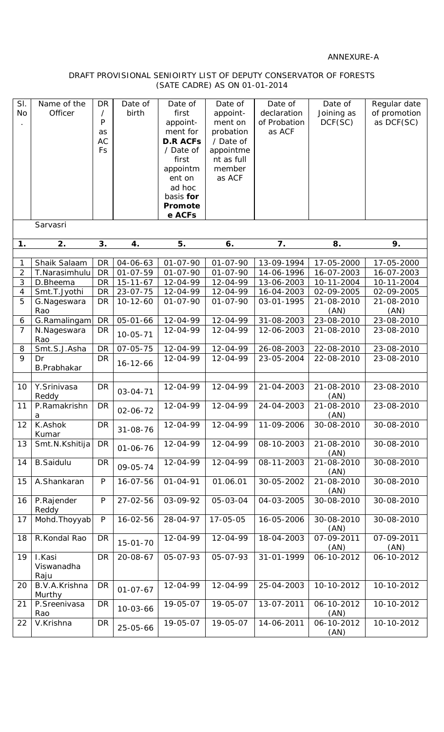## ANNEXURE-A

## DRAFT PROVISIONAL SENIOIRTY LIST OF DEPUTY CONSERVATOR OF FORESTS (SATE CADRE) AS ON 01-01-2014

| SI.<br><b>No</b> | Name of the<br>Officer<br>Sarvasri | <b>DR</b><br>Τ<br>P<br>as<br>AC<br>Fs | Date of<br>birth | Date of<br>first<br>appoint-<br>ment for<br><b>D.R ACFs</b><br>/ Date of<br>first<br>appointm<br>ent on<br>ad hoc<br>basis for<br>Promote<br>e ACFs | Date of<br>appoint-<br>ment on<br>probation<br>/ Date of<br>appointme<br>nt as full<br>member<br>as ACF | Date of<br>declaration<br>of Probation<br>as ACF | Date of<br>Joining as<br>DCF (SC) | Regular date<br>of promotion<br>as DCF(SC) |
|------------------|------------------------------------|---------------------------------------|------------------|-----------------------------------------------------------------------------------------------------------------------------------------------------|---------------------------------------------------------------------------------------------------------|--------------------------------------------------|-----------------------------------|--------------------------------------------|
|                  |                                    |                                       |                  |                                                                                                                                                     |                                                                                                         |                                                  |                                   |                                            |
| 1.               | 2.                                 | 3.                                    | 4.               | 5.                                                                                                                                                  | 6.                                                                                                      | 7.                                               | 8.                                | 9.                                         |
| 1                | Shaik Salaam                       | <b>DR</b>                             | $04 - 06 - 63$   | $01 - 07 - 90$                                                                                                                                      | $01 - 07 - 90$                                                                                          | 13-09-1994                                       | 17-05-2000                        | 17-05-2000                                 |
| $\overline{2}$   | T.Narasimhulu                      | <b>DR</b>                             | $01 - 07 - 59$   | $01 - 07 - 90$                                                                                                                                      | $01 - 07 - 90$                                                                                          | 14-06-1996                                       | 16-07-2003                        | 16-07-2003                                 |
| $\mathfrak{Z}$   | D.Bheema                           | DR                                    | $15 - 11 - 67$   | 12-04-99                                                                                                                                            | 12-04-99                                                                                                | 13-06-2003                                       | 10-11-2004                        | 10-11-2004                                 |
| 4                | Smt.T.Jyothi                       | <b>DR</b>                             | $23 - 07 - 75$   | 12-04-99                                                                                                                                            | 12-04-99                                                                                                | 16-04-2003                                       | 02-09-2005                        | 02-09-2005                                 |
| 5                | G.Nageswara<br>Rao                 | <b>DR</b>                             | $10 - 12 - 60$   | $01 - 07 - 90$                                                                                                                                      | $01 - 07 - 90$                                                                                          | 03-01-1995                                       | 21-08-2010<br>(AN)                | 21-08-2010<br>(AN)                         |
| 6                | G.Ramalingam                       | <b>DR</b>                             | $05 - 01 - 66$   | 12-04-99                                                                                                                                            | 12-04-99                                                                                                | 31-08-2003                                       | 23-08-2010                        | 23-08-2010                                 |
| $\overline{7}$   | N.Nageswara<br>Rao                 | DR                                    | $10 - 05 - 71$   | 12-04-99                                                                                                                                            | 12-04-99                                                                                                | 12-06-2003                                       | 21-08-2010                        | 23-08-2010                                 |
| 8                | Smt.S.J.Asha                       | <b>DR</b>                             | $07 - 05 - 75$   | 12-04-99                                                                                                                                            | 12-04-99                                                                                                | 26-08-2003                                       | 22-08-2010                        | 23-08-2010                                 |
| 9                | Dr<br>B.Prabhakar                  | <b>DR</b>                             | $16 - 12 - 66$   | 12-04-99                                                                                                                                            | 12-04-99                                                                                                | 23-05-2004                                       | 22-08-2010                        | 23-08-2010                                 |
|                  | Y.Srinivasa                        |                                       |                  | 12-04-99                                                                                                                                            | 12-04-99                                                                                                | 21-04-2003                                       | 21-08-2010                        | 23-08-2010                                 |
| 10               | Reddy                              | <b>DR</b>                             | 03-04-71         |                                                                                                                                                     |                                                                                                         |                                                  | (AN)                              |                                            |
| 11               | P.Ramakrishn<br>a                  | <b>DR</b>                             | $02 - 06 - 72$   | 12-04-99                                                                                                                                            | 12-04-99                                                                                                | 24-04-2003                                       | 21-08-2010<br>(AN)                | 23-08-2010                                 |
| 12               | K.Ashok<br>Kumar                   | <b>DR</b>                             | 31-08-76         | 12-04-99                                                                                                                                            | 12-04-99                                                                                                | 11-09-2006                                       | 30-08-2010                        | 30-08-2010                                 |
| 13               | Smt.N.Kshitija                     | DR                                    | $01 - 06 - 76$   | 12-04-99                                                                                                                                            | 12-04-99                                                                                                | 08-10-2003                                       | 21-08-2010<br>(AN)                | 30-08-2010                                 |
| 14               | <b>B.Saidulu</b>                   | <b>DR</b>                             | 09-05-74         | 12-04-99                                                                                                                                            | 12-04-99                                                                                                | 08-11-2003                                       | 21-08-2010<br>(AN)                | 30-08-2010                                 |
| 15               | A.Shankaran                        | ${\sf P}$                             | 16-07-56         | $01 - 04 - 91$                                                                                                                                      | 01.06.01                                                                                                | 30-05-2002                                       | 21-08-2010<br>(AN)                | 30-08-2010                                 |
| 16               | P.Rajender<br>Reddy                | ${\sf P}$                             | 27-02-56         | 03-09-92                                                                                                                                            | 05-03-04                                                                                                | 04-03-2005                                       | 30-08-2010                        | 30-08-2010                                 |
| 17               | Mohd. Thoyyab                      | $\mathsf{P}$                          | $16 - 02 - 56$   | 28-04-97                                                                                                                                            | $17 - 05 - 05$                                                                                          | 16-05-2006                                       | 30-08-2010<br>(AN)                | 30-08-2010                                 |
| 18               | R.Kondal Rao                       | DR                                    | $15 - 01 - 70$   | 12-04-99                                                                                                                                            | 12-04-99                                                                                                | 18-04-2003                                       | 07-09-2011<br>(AN)                | 07-09-2011<br>(AN)                         |
| 19               | I.Kasi<br>Viswanadha<br>Raju       | <b>DR</b>                             | 20-08-67         | 05-07-93                                                                                                                                            | 05-07-93                                                                                                | 31-01-1999                                       | 06-10-2012                        | 06-10-2012                                 |
| 20               | B.V.A.Krishna<br>Murthy            | <b>DR</b>                             | $01 - 07 - 67$   | 12-04-99                                                                                                                                            | 12-04-99                                                                                                | 25-04-2003                                       | 10-10-2012                        | 10-10-2012                                 |
| 21               | P.Sreenivasa<br>Rao                | DR                                    | $10 - 03 - 66$   | 19-05-07                                                                                                                                            | 19-05-07                                                                                                | 13-07-2011                                       | 06-10-2012<br>(AN)                | 10-10-2012                                 |
| 22               | V.Krishna                          | <b>DR</b>                             | 25-05-66         | 19-05-07                                                                                                                                            | 19-05-07                                                                                                | 14-06-2011                                       | 06-10-2012<br>(AN)                | 10-10-2012                                 |